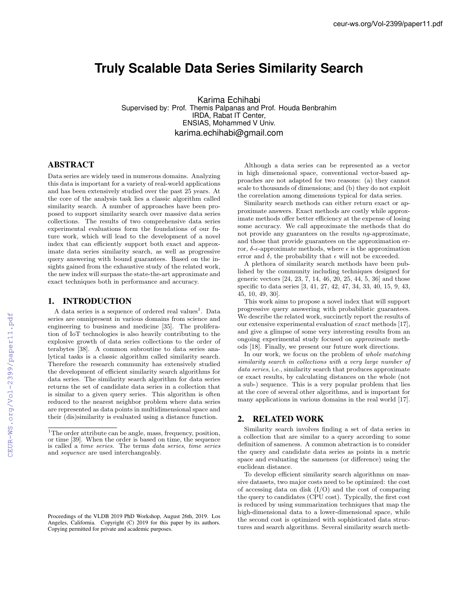# **Truly Scalable Data Series Similarity Search**

Karima Echihabi Supervised by: Prof. Themis Palpanas and Prof. Houda Benbrahim IRDA, Rabat IT Center, ENSIAS, Mohammed V Univ. karima.echihabi@gmail.com

## ABSTRACT

Data series are widely used in numerous domains. Analyzing this data is important for a variety of real-world applications and has been extensively studied over the past 25 years. At the core of the analysis task lies a classic algorithm called similarity search. A number of approaches have been proposed to support similarity search over massive data series collections. The results of two comprehensive data series experimental evaluations form the foundations of our future work, which will lead to the development of a novel index that can efficiently support both exact and approximate data series similarity search, as well as progressive query answering with bound guarantees. Based on the insights gained from the exhaustive study of the related work, the new index will surpass the state-the-art approximate and exact techniques both in performance and accuracy.

## 1. INTRODUCTION

A data series is a sequence of ordered real values<sup>1</sup>. Data series are omnipresent in various domains from science and engineering to business and medicine [35]. The proliferation of IoT technologies is also heavily contributing to the explosive growth of data series collections to the order of terabytes [38]. A common subroutine to data series analytical tasks is a classic algorithm called similarity search. Therefore the research community has extensively studied the development of efficient similarity search algorithms for data series. The similarity search algorithm for data series returns the set of candidate data series in a collection that is similar to a given query series. This algorithm is often reduced to the nearest neighbor problem where data series are represented as data points in multidimensional space and their (dis)similarity is evaluated using a distance function.

Proceedings of the VLDB 2019 PhD Workshop, August 26th, 2019. Los Angeles, California. Copyright (C) 2019 for this paper by its authors. Copying permitted for private and academic purposes.

Although a data series can be represented as a vector in high dimensional space, conventional vector-based approaches are not adapted for two reasons: (a) they cannot scale to thousands of dimensions; and (b) they do not exploit the correlation among dimensions typical for data series.

Similarity search methods can either return exact or approximate answers. Exact methods are costly while approximate methods offer better efficiency at the expense of losing some accuracy. We call approximate the methods that do not provide any guarantees on the results *ng*-approximate, and those that provide guarantees on the approximation error,  $\delta$ - $\epsilon$ -approximate methods, where  $\epsilon$  is the approximation error and  $\delta$ , the probability that  $\epsilon$  will not be exceeded.

A plethora of similarity search methods have been published by the community including techniques designed for generic vectors [24, 23, 7, 14, 46, 20, 25, 44, 5, 36] and those specific to data series [3, 41, 27, 42, 47, 34, 33, 40, 15, 9, 43, 45, 10, 49, 30].

This work aims to propose a novel index that will support progressive query answering with probabilistic guarantees. We describe the related work, succinctly report the results of our extensive experimental evaluation of *exact* methods [17], and give a glimpse of some very interesting results from an ongoing experimental study focused on *approximate* methods [18]. Finally, we present our future work directions.

In our work, we focus on the problem of *whole matching similarity search in collections with a very large number of data series*, i.e., similarity search that produces approximate or exact results, by calculating distances on the whole (not a sub-) sequence. This is a very popular problem that lies at the core of several other algorithms, and is important for many applications in various domains in the real world [17].

#### 2. RELATED WORK

Similarity search involves finding a set of data series in a collection that are similar to a query according to some definition of sameness. A common abstraction is to consider the query and candidate data series as points in a metric space and evaluating the sameness (or difference) using the euclidean distance.

To develop efficient similarity search algorithms on massive datasets, two major costs need to be optimized: the cost of accessing data on disk  $(I/O)$  and the cost of comparing the query to candidates (CPU cost). Typically, the first cost is reduced by using summarization techniques that map the high-dimensional data to a lower-dimensional space, while the second cost is optimized with sophisticated data structures and search algorithms. Several similarity search meth-

<sup>&</sup>lt;sup>1</sup>The order attribute can be angle, mass, frequency, position, or time [39]. When the order is based on time, the sequence is called a *time series*. The terms *data series*, *time series* and *sequence* are used interchangeably.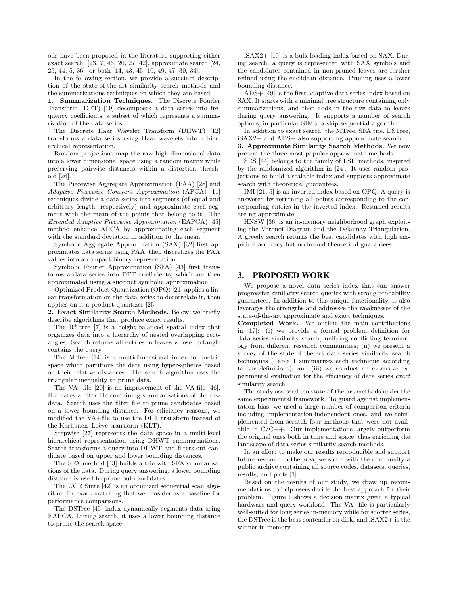ods have been proposed in the literature supporting either exact search [23, 7, 46, 20, 27, 42], approximate search [24, 25, 44, 5, 36], or both [14, 43, 45, 10, 49, 47, 30, 34].

In the following section, we provide a succinct description of the state-of-the-art similarity search methods and the summarizations techniques on which they are based.

1. Summarization Techniques. The Discrete Fourier Transform (DFT) [19] decomposes a data series into frequency coefficients, a subset of which represents a summarization of the data series.

The Discrete Haar Wavelet Transform (DHWT) [12] transforms a data series using Haar wavelets into a hierarchical representation.

Random projections map the raw high dimensional data into a lower dimensional space using a random matrix while preserving pairwise distances within a distortion threshold [26].

The Piecewise Aggregate Approximation (PAA) [28] and *Adaptive Piecewise Constant Approximation* (APCA) [11] techniques divide a data series into segments (of equal and arbitrary length, respectively) and approximate each segment with the mean of the points that belong to it. The *Extended Adaptive Piecewise Approximation* (EAPCA) [45] method enhance APCA by approximating each segment with the standard deviation in addition to the mean.

Symbolic Aggregate Approximation (SAX) [32] first approximates data series using PAA, then discretizes the PAA values into a compact binary representation.

Symbolic Fourier Approximation (SFA) [43] first transforms a data series into DFT coefficients, which are then approximated using a succinct symbolic approximation.

Optimized Product Quantization (OPQ) [21] applies a linear transformation on the data series to decorrelate it, then applies on it a product quantizer [25].

2. Exact Similarity Search Methods. Below, we briefly describe algorithms that produce exact results.

The R\*-tree [7] is a height-balanced spatial index that organizes data into a hierarchy of nested overlapping rectangles. Search returns all entries in leaves whose rectangle contains the query.

The M-tree [14] is a multidimensional index for metric space which partitions the data using hyper-spheres based on their relative distances. The search algorithm uses the triangular inequality to prune data.

The VA+file [20] is an improvement of the VA-file [46]. It creates a filter file containing summarizations of the raw data. Search uses the filter file to prune candidates based on a lower bounding distance. For efficiency reasons, we modified the VA+file to use the DFT transform instead of the Karhunen–Loève transform (KLT).

Stepwise [27] represents the data space in a multi-level hierarchical representation using DHWT summarizations. Search transforms a query into DHWT and filters out candidate based on upper and lower bounding distances.

The SFA method [43] builds a trie with SFA summarizations of the data. During query answering, a lower bounding distance is used to prune out candidates.

The UCR Suite [42] is an optimized sequential scan algorithm for exact matching that we consider as a baseline for performance comparisons.

The DSTree [45] index dynamically segments data using EAPCA. During search, it uses a lower bounding distance to prune the search space.

iSAX2+ [10] is a bulk-loading index based on SAX. During search, a query is represented with SAX symbols and the candidates contained in non-pruned leaves are further refined using the euclidean distance. Pruning uses a lower bounding distance.

ADS+ [49] is the first adaptive data series index based on SAX. It starts with a minimal tree structure containing only summarizations, and then adds in the raw data to leaves during query answering. It supports a number of search options, in particular SIMS, a skip-sequential algorithm.

In addition to exact search, the MTree, SFA trie, DSTree, iSAX2+ and ADS+ also support ng-approximate search. 3. Approximate Similarity Search Methods. We now

present the three most popular approximate methods.

SRS [44] belongs to the family of LSH methods, inspired by the randomized algorithm in [24]. It uses random projections to build a scalable index and supports approximate search with theoretical guarantees.

IMI [21, 5] is an inverted index based on OPQ. A query is answered by returning all points corresponding to the corresponding entries in the inverted index. Returned results are ng-approximate.

HNSW [36] is an in-memory neighborhood graph exploiting the Voronoi Diagram and the Delaunay Triangulation. A greedy search returns the best candidates with high empirical accuracy but no formal theoretical guarantees.

#### 3. PROPOSED WORK

We propose a novel data series index that can answer progressive similarity search queries with strong probability guarantees. In addition to this unique functionality, it also leverages the strengths and addresses the weaknesses of the state-of-the-art approximate and exact techniques.

Completed Work. We outline the main contributions in [17]: (i) we provide a formal problem definition for data series similarity search, unifying conflicting terminology from different research communities; (ii) we present a survey of the state-of-the-art data series similarity search techniques (Table 1 summarizes each technique according to our definitions); and (iii) we conduct an extensive experimental evaluation for the efficiency of data series *exact* similarity search.

The study assessed ten state-of-the-art methods under the same experimental framework. To guard against implementation bias, we used a large number of comparison criteria including implementation-independent ones, and we reimplemented from scratch four methods that were not available in  $C/C++$ . Our implementations largely outperform the original ones both in time and space, thus enriching the landscape of data series similarity search methods.

In an effort to make our results reproducible and support future research in the area, we share with the community a public archive containing all source codes, datasets, queries, results, and plots [1].

Based on the results of our study, we draw up recommendations to help users decide the best approach for their problem. Figure 1 shows a decision matrix given a typical hardware and query workload. The VA+file is particularly well-suited for long series in-memory while for shorter series, the DSTree is the best contender on disk, and iSAX2+ is the winner in-memory.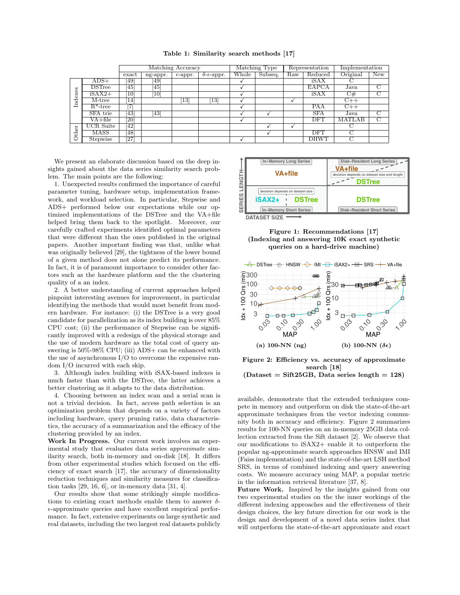|  | Table 1: Similarity search methods [17] |  |  |  |
|--|-----------------------------------------|--|--|--|
|--|-----------------------------------------|--|--|--|

|         |               | Matching Accuracy |          |                   | Matching Type                |       | Representation |     | Implementation |          |                |
|---------|---------------|-------------------|----------|-------------------|------------------------------|-------|----------------|-----|----------------|----------|----------------|
|         |               | exact             | ng-appr. | $\epsilon$ -appr. | $\delta$ - $\epsilon$ -appr. | Whole | Subseq.        | Raw | Reduced        | Original | <b>New</b>     |
| Indexes | $ADS+$        | 49]               | [49]     |                   |                              |       |                |     | iSAX           |          |                |
|         | <b>DSTree</b> | 45]               | 45       |                   |                              |       |                |     | EAPCA          | Java     | $\overline{C}$ |
|         | $iSAX2+$      | 10 <sup>1</sup>   | 10       |                   |                              |       |                |     | iSAX           | C#       | $\overline{C}$ |
|         | M-tree        | 14]               |          | $\overline{13}$   | $\left\lceil 13\right\rceil$ |       |                |     |                | $C++$    |                |
|         | $R^*$ -tree   | 7                 |          |                   |                              |       |                |     | PAA            | $C++$    |                |
|         | SFA trie      | 43]               | [43]     |                   |                              |       |                |     | <b>SFA</b>     | Java     | C              |
|         | $VA + file$   | <b>20</b>         |          |                   |                              |       |                |     | <b>DFT</b>     | MATLAB   | C              |
| ther    | UCR Suite     | 421               |          |                   |                              |       |                |     |                |          |                |
|         | MASS          | 48                |          |                   |                              |       |                |     | <b>DFT</b>     |          |                |
|         | Stepwise      | $\overline{27}$   |          |                   |                              |       |                |     | <b>DHWT</b>    |          |                |

We present an elaborate discussion based on the deep insights gained about the data series similarity search problem. The main points are the following:

1. Unexpected results confirmed the importance of careful parameter tuning, hardware setup, implementation framework, and workload selection. In particular, Stepwise and ADS+ performed below our expectations while our optimized implementations of the DSTree and the VA+file helped bring them back to the spotlight. Moreover, our carefully crafted experiments identified optimal parameters that were different than the ones published in the original papers. Another important finding was that, unlike what was originally believed [29], the tightness of the lower bound of a given method does not alone predict its performance. In fact, it is of paramount importance to consider other factors such as the hardware platform and the the clustering quality of a an index.

2. A better understanding of current approaches helped pinpoint interesting avenues for improvement, in particular identifying the methods that would most benefit from modern hardware. For instance: (i) the DSTree is a very good candidate for parallelization as its index building is over 85% CPU cost; (ii) the performance of Stepwise can be significantly improved with a redesign of the physical storage and the use of modern hardware as the total cost of query answering is 50%-98% CPU; (iii) ADS+ can be enhanced with the use of asynchronous I/O to overcome the expensive random I/O incurred with each skip.

3. Although index building with iSAX-based indexes is much faster than with the DSTree, the latter achieves a better clustering as it adapts to the data distribution.

4. Choosing between an index scan and a serial scan is not a trivial decision. In fact, access path selection is an optimization problem that depends on a variety of factors including hardware, query pruning ratio, data characteristics, the accuracy of a summarization and the efficacy of the clustering provided by an index.

Work In Progress. Our current work involves an experimental study that evaluates data series *approximate* similarity search, both in-memory and on-disk [18]. It differs from other experimental studies which focused on the efficiency of exact search [17], the accuracy of dimensionality reduction techniques and similarity measures for classification tasks [29, 16, 6], or in-memory data [31, 4].

Our results show that some strikingly simple modifications to existing exact methods enable them to answer  $\delta$ -✏-approximate queries and have excellent empirical performance. In fact, extensive experiments on large synthetic and real datasets, including the two largest real datasets publicly



Figure 1: Recommendations [17] (Indexing and answering 10K exact synthetic queries on a hard-drive machine)



Figure 2: Efficiency vs. accuracy of approximate search [18]  $(Dataset = Sift25GB, Data series length = 128)$ 

available, demonstrate that the extended techniques compete in memory and outperform on disk the state-of-the-art approximate techniques from the vector indexing community both in accuracy and efficiency. Figure 2 summarizes results for 100-NN queries on an in-memory 25GB data collection extracted from the Sift dataset [2]. We observe that our modifications to iSAX2+ enable it to outperform the popular ng-approximate search approaches HNSW and IMI (Faiss implementation) and the state-of-the-art LSH method SRS, in terms of combined indexing and query answering costs. We measure accuracy using MAP, a popular metric in the information retrieval literature [37, 8].

Future Work. Inspired by the insights gained from our two experimental studies on the the inner workings of the different indexing approaches and the effectiveness of their design choices, the key future direction for our work is the design and development of a novel data series index that will outperform the state-of-the-art approximate and exact